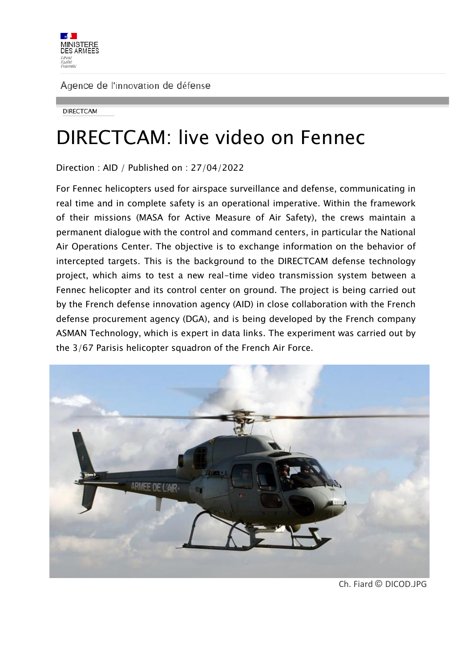

**DIRECTCAM** 

# DIRECTCAM: live video on Fennec

Direction : AID / Published on : 27/04/2022

For Fennec helicopters used for airspace surveillance and defense, communicating in real time and in complete safety is an operational imperative. Within the framework of their missions (MASA for Active Measure of Air Safety), the crews maintain a permanent dialogue with the control and command centers, in particular the National Air Operations Center. The objective is to exchange information on the behavior of intercepted targets. This is the background to the DIRECTCAM defense technology project, which aims to test a new real-time video transmission system between a Fennec helicopter and its control center on ground. The project is being carried out by the French defense innovation agency (AID) in close collaboration with the French defense procurement agency (DGA), and is being developed by the French company ASMAN Technology, which is expert in data links. The experiment was carried out by the 3/67 Parisis helicopter squadron of the French Air Force.



Ch. Fiard © DICOD.JPG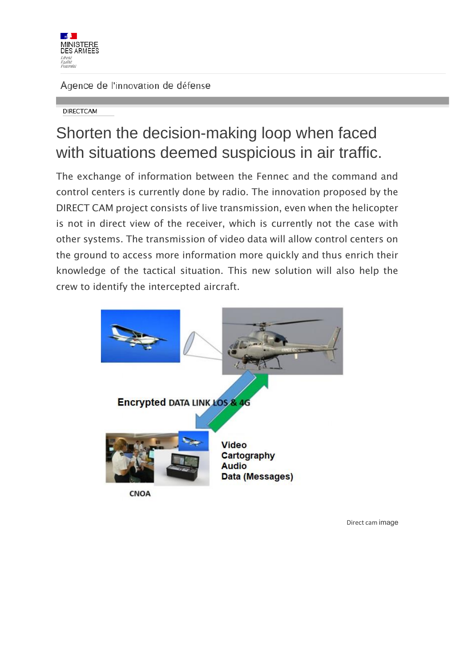

**DIRECTCAM** 

## Shorten the decision-making loop when faced with situations deemed suspicious in air traffic.

The exchange of information between the Fennec and the command and control centers is currently done by radio. The innovation proposed by the DIRECT CAM project consists of live transmission, even when the helicopter is not in direct view of the receiver, which is currently not the case with other systems. The transmission of video data will allow control centers on the ground to access more information more quickly and thus enrich their knowledge of the tactical situation. This new solution will also help the crew to identify the intercepted aircraft.



Direct cam image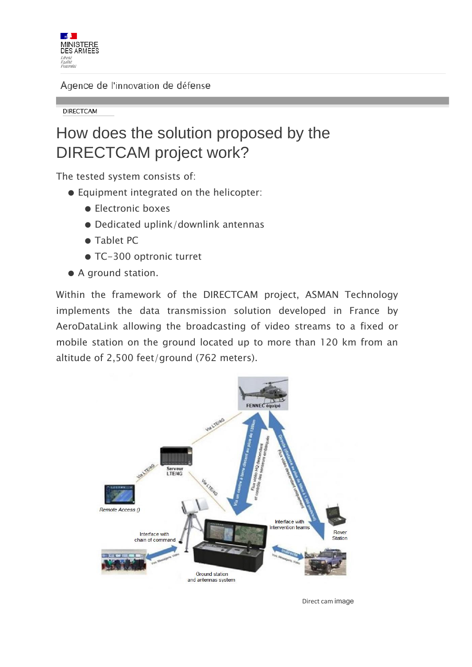

**DIRECTCAM** 

### How does the solution proposed by the DIRECTCAM project work?

The tested system consists of:

- Equipment integrated on the helicopter:
	- Electronic boxes
	- Dedicated uplink/downlink antennas
	- Tablet PC
	- TC-300 optronic turret
- A ground station.

Within the framework of the DIRECTCAM project, ASMAN Technology implements the data transmission solution developed in France by AeroDataLink allowing the broadcasting of video streams to a fixed or mobile station on the ground located up to more than 120 km from an altitude of 2,500 feet/ground (762 meters).



Direct cam image